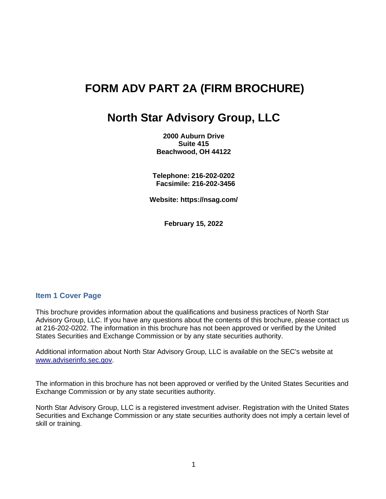# **FORM ADV PART 2A (FIRM BROCHURE)**

# **North Star Advisory Group, LLC**

**2000 Auburn Drive Suite 415 Beachwood, OH 44122**

**Telephone: 216-202-0202 Facsimile: 216-202-3456** 

**Website: https://nsag.com/**

**February 15, 2022**

## **Item 1 Cover Page**

This brochure provides information about the qualifications and business practices of North Star Advisory Group, LLC. If you have any questions about the contents of this brochure, please contact us at 216-202-0202. The information in this brochure has not been approved or verified by the United States Securities and Exchange Commission or by any state securities authority.

Additional information about North Star Advisory Group, LLC is available on the SEC's website at [www.adviserinfo.sec.gov.](http://www.adviserinfo.sec.gov/)

The information in this brochure has not been approved or verified by the United States Securities and Exchange Commission or by any state securities authority.

North Star Advisory Group, LLC is a registered investment adviser. Registration with the United States Securities and Exchange Commission or any state securities authority does not imply a certain level of skill or training.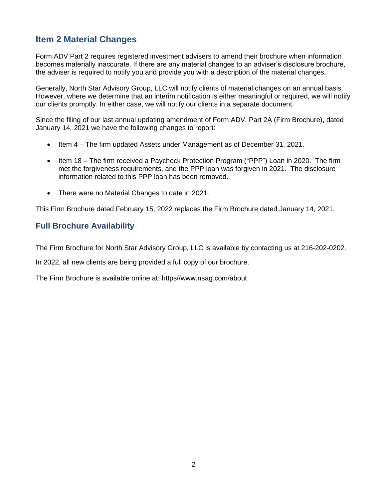# **Item 2 Material Changes**

Form ADV Part 2 requires registered investment advisers to amend their brochure when information becomes materially inaccurate. If there are any material changes to an adviser's disclosure brochure, the adviser is required to notify you and provide you with a description of the material changes.

Generally, North Star Advisory Group, LLC will notify clients of material changes on an annual basis. However, where we determine that an interim notification is either meaningful or required, we will notify our clients promptly. In either case, we will notify our clients in a separate document.

Since the filing of our last annual updating amendment of Form ADV, Part 2A (Firm Brochure), dated January 14, 2021 we have the following changes to report:

- Item 4 The firm updated Assets under Management as of December 31, 2021.
- Item 18 The firm received a Paycheck Protection Program ("PPP") Loan in 2020. The firm met the forgiveness requirements, and the PPP loan was forgiven in 2021. The disclosure information related to this PPP loan has been removed.
- There were no Material Changes to date in 2021.

This Firm Brochure dated February 15, 2022 replaces the Firm Brochure dated January 14, 2021.

## **Full Brochure Availability**

The Firm Brochure for North Star Advisory Group, LLC is available by contacting us at 216-202-0202.

In 2022, all new clients are being provided a full copy of our brochure.

The Firm Brochure is available online at: https//www.nsag.com/about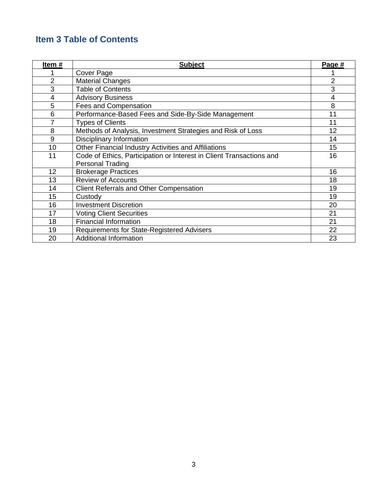# **Item 3 Table of Contents**

| Item#          | <b>Subject</b>                                                       | Page # |
|----------------|----------------------------------------------------------------------|--------|
|                | Cover Page                                                           |        |
| $\overline{2}$ | <b>Material Changes</b>                                              | 2      |
| 3              | <b>Table of Contents</b>                                             | 3      |
| 4              | <b>Advisory Business</b>                                             | 4      |
| 5              | Fees and Compensation                                                | 8      |
| 6              | Performance-Based Fees and Side-By-Side Management                   | 11     |
| 7              | <b>Types of Clients</b>                                              | 11     |
| 8              | Methods of Analysis, Investment Strategies and Risk of Loss          | 12     |
| 9              | Disciplinary Information                                             | 14     |
| 10             | Other Financial Industry Activities and Affiliations                 | 15     |
| 11             | Code of Ethics, Participation or Interest in Client Transactions and | 16     |
|                | <b>Personal Trading</b>                                              |        |
| 12             | <b>Brokerage Practices</b>                                           | 16     |
| 13             | <b>Review of Accounts</b>                                            | 18     |
| 14             | <b>Client Referrals and Other Compensation</b>                       | 19     |
| 15             | Custody                                                              | 19     |
| 16             | <b>Investment Discretion</b>                                         | 20     |
| 17             | <b>Voting Client Securities</b>                                      | 21     |
| 18             | <b>Financial Information</b>                                         | 21     |
| 19             | Requirements for State-Registered Advisers                           | 22     |
| 20             | <b>Additional Information</b>                                        | 23     |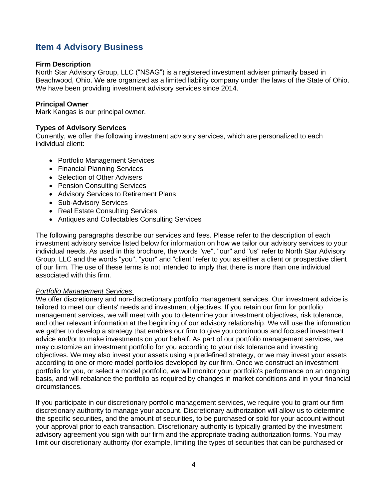# **Item 4 Advisory Business**

#### **Firm Description**

North Star Advisory Group, LLC ("NSAG") is a registered investment adviser primarily based in Beachwood, Ohio. We are organized as a limited liability company under the laws of the State of Ohio. We have been providing investment advisory services since 2014.

### **Principal Owner**

Mark Kangas is our principal owner.

#### **Types of Advisory Services**

Currently, we offer the following investment advisory services, which are personalized to each individual client:

- Portfolio Management Services
- Financial Planning Services
- Selection of Other Advisers
- Pension Consulting Services
- Advisory Services to Retirement Plans
- Sub-Advisory Services
- Real Estate Consulting Services
- Antiques and Collectables Consulting Services

The following paragraphs describe our services and fees. Please refer to the description of each investment advisory service listed below for information on how we tailor our advisory services to your individual needs. As used in this brochure, the words "we", "our" and "us" refer to North Star Advisory Group, LLC and the words "you", "your" and "client" refer to you as either a client or prospective client of our firm. The use of these terms is not intended to imply that there is more than one individual associated with this firm.

## *Portfolio Management Services*

We offer discretionary and non-discretionary portfolio management services. Our investment advice is tailored to meet our clients' needs and investment objectives. If you retain our firm for portfolio management services, we will meet with you to determine your investment objectives, risk tolerance, and other relevant information at the beginning of our advisory relationship. We will use the information we gather to develop a strategy that enables our firm to give you continuous and focused investment advice and/or to make investments on your behalf. As part of our portfolio management services, we may customize an investment portfolio for you according to your risk tolerance and investing objectives. We may also invest your assets using a predefined strategy, or we may invest your assets according to one or more model portfolios developed by our firm. Once we construct an investment portfolio for you, or select a model portfolio, we will monitor your portfolio's performance on an ongoing basis, and will rebalance the portfolio as required by changes in market conditions and in your financial circumstances.

If you participate in our discretionary portfolio management services, we require you to grant our firm discretionary authority to manage your account. Discretionary authorization will allow us to determine the specific securities, and the amount of securities, to be purchased or sold for your account without your approval prior to each transaction. Discretionary authority is typically granted by the investment advisory agreement you sign with our firm and the appropriate trading authorization forms. You may limit our discretionary authority (for example, limiting the types of securities that can be purchased or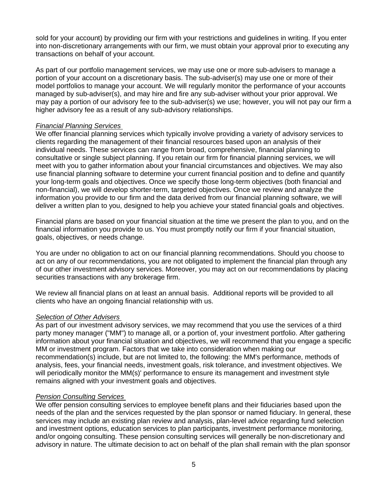sold for your account) by providing our firm with your restrictions and guidelines in writing. If you enter into non-discretionary arrangements with our firm, we must obtain your approval prior to executing any transactions on behalf of your account.

As part of our portfolio management services, we may use one or more sub-advisers to manage a portion of your account on a discretionary basis. The sub-adviser(s) may use one or more of their model portfolios to manage your account. We will regularly monitor the performance of your accounts managed by sub-adviser(s), and may hire and fire any sub-adviser without your prior approval. We may pay a portion of our advisory fee to the sub-adviser(s) we use; however, you will not pay our firm a higher advisory fee as a result of any sub-advisory relationships.

#### *Financial Planning Services*

We offer financial planning services which typically involve providing a variety of advisory services to clients regarding the management of their financial resources based upon an analysis of their individual needs. These services can range from broad, comprehensive, financial planning to consultative or single subject planning. If you retain our firm for financial planning services, we will meet with you to gather information about your financial circumstances and objectives. We may also use financial planning software to determine your current financial position and to define and quantify your long-term goals and objectives. Once we specify those long-term objectives (both financial and non-financial), we will develop shorter-term, targeted objectives. Once we review and analyze the information you provide to our firm and the data derived from our financial planning software, we will deliver a written plan to you, designed to help you achieve your stated financial goals and objectives.

Financial plans are based on your financial situation at the time we present the plan to you, and on the financial information you provide to us. You must promptly notify our firm if your financial situation, goals, objectives, or needs change.

You are under no obligation to act on our financial planning recommendations. Should you choose to act on any of our recommendations, you are not obligated to implement the financial plan through any of our other investment advisory services. Moreover, you may act on our recommendations by placing securities transactions with any brokerage firm.

We review all financial plans on at least an annual basis. Additional reports will be provided to all clients who have an ongoing financial relationship with us.

#### *Selection of Other Advisers*

As part of our investment advisory services, we may recommend that you use the services of a third party money manager ("MM") to manage all, or a portion of, your investment portfolio. After gathering information about your financial situation and objectives, we will recommend that you engage a specific MM or investment program. Factors that we take into consideration when making our recommendation(s) include, but are not limited to, the following: the MM's performance, methods of analysis, fees, your financial needs, investment goals, risk tolerance, and investment objectives. We will periodically monitor the MM(s)' performance to ensure its management and investment style remains aligned with your investment goals and objectives.

#### *Pension Consulting Services*

We offer pension consulting services to employee benefit plans and their fiduciaries based upon the needs of the plan and the services requested by the plan sponsor or named fiduciary. In general, these services may include an existing plan review and analysis, plan-level advice regarding fund selection and investment options, education services to plan participants, investment performance monitoring, and/or ongoing consulting. These pension consulting services will generally be non-discretionary and advisory in nature. The ultimate decision to act on behalf of the plan shall remain with the plan sponsor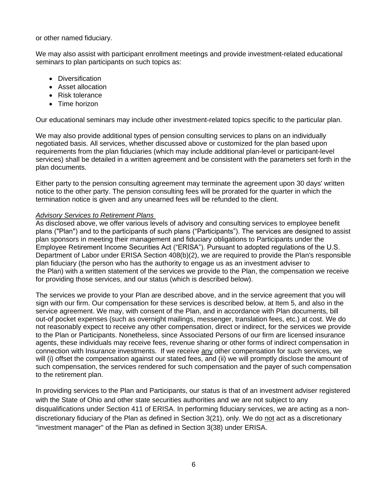or other named fiduciary.

We may also assist with participant enrollment meetings and provide investment-related educational seminars to plan participants on such topics as:

- Diversification
- Asset allocation
- Risk tolerance
- Time horizon

Our educational seminars may include other investment-related topics specific to the particular plan.

We may also provide additional types of pension consulting services to plans on an individually negotiated basis. All services, whether discussed above or customized for the plan based upon requirements from the plan fiduciaries (which may include additional plan-level or participant-level services) shall be detailed in a written agreement and be consistent with the parameters set forth in the plan documents.

Either party to the pension consulting agreement may terminate the agreement upon 30 days' written notice to the other party. The pension consulting fees will be prorated for the quarter in which the termination notice is given and any unearned fees will be refunded to the client.

## *Advisory Services to Retirement Plans*

As disclosed above, we offer various levels of advisory and consulting services to employee benefit plans ("Plan") and to the participants of such plans ("Participants"). The services are designed to assist plan sponsors in meeting their management and fiduciary obligations to Participants under the Employee Retirement Income Securities Act ("ERISA"). Pursuant to adopted regulations of the U.S. Department of Labor under ERISA Section 408(b)(2), we are required to provide the Plan's responsible plan fiduciary (the person who has the authority to engage us as an investment adviser to the Plan) with a written statement of the services we provide to the Plan, the compensation we receive for providing those services, and our status (which is described below).

The services we provide to your Plan are described above, and in the service agreement that you will sign with our firm. Our compensation for these services is described below, at Item 5, and also in the service agreement. We may, with consent of the Plan, and in accordance with Plan documents, bill out-of pocket expenses (such as overnight mailings, messenger, translation fees, etc.) at cost. We do not reasonably expect to receive any other compensation, direct or indirect, for the services we provide to the Plan or Participants. Nonetheless, since Associated Persons of our firm are licensed insurance agents, these individuals may receive fees, revenue sharing or other forms of indirect compensation in connection with Insurance investments. If we receive any other compensation for such services, we will (i) offset the compensation against our stated fees, and (ii) we will promptly disclose the amount of such compensation, the services rendered for such compensation and the payer of such compensation to the retirement plan.

In providing services to the Plan and Participants, our status is that of an investment adviser registered with the State of Ohio and other state securities authorities and we are not subject to any disqualifications under Section 411 of ERISA. In performing fiduciary services, we are acting as a nondiscretionary fiduciary of the Plan as defined in Section 3(21), only. We do not act as a discretionary "investment manager" of the Plan as defined in Section 3(38) under ERISA.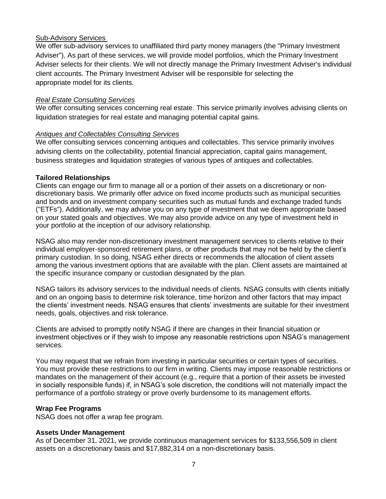## Sub-Advisory Services

We offer sub-advisory services to unaffiliated third party money managers (the "Primary Investment Adviser"). As part of these services, we will provide model portfolios, which the Primary Investment Adviser selects for their clients. We will not directly manage the Primary Investment Adviser's individual client accounts. The Primary Investment Adviser will be responsible for selecting the appropriate model for its clients.

#### *Real Estate Consulting Services*

We offer consulting services concerning real estate. This service primarily involves advising clients on liquidation strategies for real estate and managing potential capital gains.

#### *Antiques and Collectables Consulting Services*

We offer consulting services concerning antiques and collectables. This service primarily involves advising clients on the collectability, potential financial appreciation, capital gains management, business strategies and liquidation strategies of various types of antiques and collectables.

#### **Tailored Relationships**

Clients can engage our firm to manage all or a portion of their assets on a discretionary or nondiscretionary basis. We primarily offer advice on fixed income products such as municipal securities and bonds and on investment company securities such as mutual funds and exchange traded funds ("ETFs"). Additionally, we may advise you on any type of investment that we deem appropriate based on your stated goals and objectives. We may also provide advice on any type of investment held in your portfolio at the inception of our advisory relationship.

NSAG also may render non-discretionary investment management services to clients relative to their individual employer-sponsored retirement plans, or other products that may not be held by the client's primary custodian. In so doing, NSAG either directs or recommends the allocation of client assets among the various investment options that are available with the plan. Client assets are maintained at the specific insurance company or custodian designated by the plan.

NSAG tailors its advisory services to the individual needs of clients. NSAG consults with clients initially and on an ongoing basis to determine risk tolerance, time horizon and other factors that may impact the clients' investment needs. NSAG ensures that clients' investments are suitable for their investment needs, goals, objectives and risk tolerance.

Clients are advised to promptly notify NSAG if there are changes in their financial situation or investment objectives or if they wish to impose any reasonable restrictions upon NSAG's management services.

You may request that we refrain from investing in particular securities or certain types of securities. You must provide these restrictions to our firm in writing. Clients may impose reasonable restrictions or mandates on the management of their account (e.g., require that a portion of their assets be invested in socially responsible funds) if, in NSAG's sole discretion, the conditions will not materially impact the performance of a portfolio strategy or prove overly burdensome to its management efforts.

## **Wrap Fee Programs**

NSAG does not offer a wrap fee program.

## **Assets Under Management**

As of December 31, 2021, we provide continuous management services for \$133,556,509 in client assets on a discretionary basis and \$17,882,314 on a non-discretionary basis.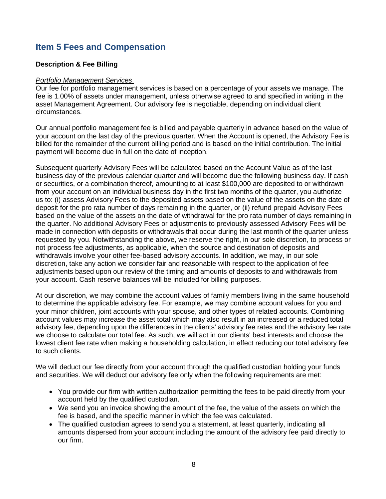# **Item 5 Fees and Compensation**

## **Description & Fee Billing**

#### *Portfolio Management Services*

Our fee for portfolio management services is based on a percentage of your assets we manage. The fee is 1.00% of assets under management, unless otherwise agreed to and specified in writing in the asset Management Agreement. Our advisory fee is negotiable, depending on individual client circumstances.

Our annual portfolio management fee is billed and payable quarterly in advance based on the value of your account on the last day of the previous quarter. When the Account is opened, the Advisory Fee is billed for the remainder of the current billing period and is based on the initial contribution. The initial payment will become due in full on the date of inception.

Subsequent quarterly Advisory Fees will be calculated based on the Account Value as of the last business day of the previous calendar quarter and will become due the following business day. If cash or securities, or a combination thereof, amounting to at least \$100,000 are deposited to or withdrawn from your account on an individual business day in the first two months of the quarter, you authorize us to: (i) assess Advisory Fees to the deposited assets based on the value of the assets on the date of deposit for the pro rata number of days remaining in the quarter, or (ii) refund prepaid Advisory Fees based on the value of the assets on the date of withdrawal for the pro rata number of days remaining in the quarter. No additional Advisory Fees or adjustments to previously assessed Advisory Fees will be made in connection with deposits or withdrawals that occur during the last month of the quarter unless requested by you. Notwithstanding the above, we reserve the right, in our sole discretion, to process or not process fee adjustments, as applicable, when the source and destination of deposits and withdrawals involve your other fee-based advisory accounts. In addition, we may, in our sole discretion, take any action we consider fair and reasonable with respect to the application of fee adjustments based upon our review of the timing and amounts of deposits to and withdrawals from your account. Cash reserve balances will be included for billing purposes.

At our discretion, we may combine the account values of family members living in the same household to determine the applicable advisory fee. For example, we may combine account values for you and your minor children, joint accounts with your spouse, and other types of related accounts. Combining account values may increase the asset total which may also result in an increased or a reduced total advisory fee, depending upon the differences in the clients' advisory fee rates and the advisory fee rate we choose to calculate our total fee. As such, we will act in our clients' best interests and choose the lowest client fee rate when making a householding calculation, in effect reducing our total advisory fee to such clients.

We will deduct our fee directly from your account through the qualified custodian holding your funds and securities. We will deduct our advisory fee only when the following requirements are met:

- You provide our firm with written authorization permitting the fees to be paid directly from your account held by the qualified custodian.
- We send you an invoice showing the amount of the fee, the value of the assets on which the fee is based, and the specific manner in which the fee was calculated.
- The qualified custodian agrees to send you a statement, at least quarterly, indicating all amounts dispersed from your account including the amount of the advisory fee paid directly to our firm.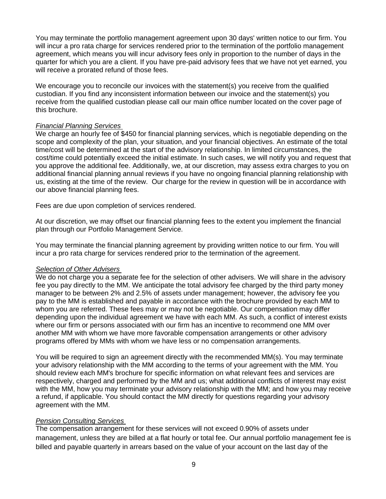You may terminate the portfolio management agreement upon 30 days' written notice to our firm. You will incur a pro rata charge for services rendered prior to the termination of the portfolio management agreement, which means you will incur advisory fees only in proportion to the number of days in the quarter for which you are a client. If you have pre-paid advisory fees that we have not yet earned, you will receive a prorated refund of those fees.

We encourage you to reconcile our invoices with the statement(s) you receive from the qualified custodian. If you find any inconsistent information between our invoice and the statement(s) you receive from the qualified custodian please call our main office number located on the cover page of this brochure.

#### *Financial Planning Services*

We charge an hourly fee of \$450 for financial planning services, which is negotiable depending on the scope and complexity of the plan, your situation, and your financial objectives. An estimate of the total time/cost will be determined at the start of the advisory relationship. In limited circumstances, the cost/time could potentially exceed the initial estimate. In such cases, we will notify you and request that you approve the additional fee. Additionally, we, at our discretion, may assess extra charges to you on additional financial planning annual reviews if you have no ongoing financial planning relationship with us, existing at the time of the review. Our charge for the review in question will be in accordance with our above financial planning fees.

Fees are due upon completion of services rendered.

At our discretion, we may offset our financial planning fees to the extent you implement the financial plan through our Portfolio Management Service.

You may terminate the financial planning agreement by providing written notice to our firm. You will incur a pro rata charge for services rendered prior to the termination of the agreement.

#### *Selection of Other Advisers*

We do not charge you a separate fee for the selection of other advisers. We will share in the advisory fee you pay directly to the MM. We anticipate the total advisory fee charged by the third party money manager to be between 2% and 2.5% of assets under management; however, the advisory fee you pay to the MM is established and payable in accordance with the brochure provided by each MM to whom you are referred. These fees may or may not be negotiable. Our compensation may differ depending upon the individual agreement we have with each MM. As such, a conflict of interest exists where our firm or persons associated with our firm has an incentive to recommend one MM over another MM with whom we have more favorable compensation arrangements or other advisory programs offered by MMs with whom we have less or no compensation arrangements.

You will be required to sign an agreement directly with the recommended MM(s). You may terminate your advisory relationship with the MM according to the terms of your agreement with the MM. You should review each MM's brochure for specific information on what relevant fees and services are respectively, charged and performed by the MM and us; what additional conflicts of interest may exist with the MM, how you may terminate your advisory relationship with the MM; and how you may receive a refund, if applicable. You should contact the MM directly for questions regarding your advisory agreement with the MM.

## *Pension Consulting Services*

The compensation arrangement for these services will not exceed 0.90% of assets under management, unless they are billed at a flat hourly or total fee. Our annual portfolio management fee is billed and payable quarterly in arrears based on the value of your account on the last day of the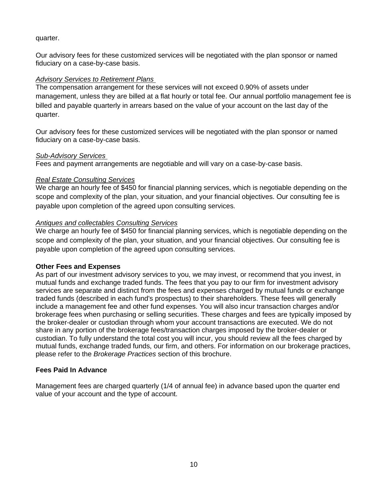## quarter.

Our advisory fees for these customized services will be negotiated with the plan sponsor or named fiduciary on a case-by-case basis.

## *Advisory Services to Retirement Plans*

The compensation arrangement for these services will not exceed 0.90% of assets under management, unless they are billed at a flat hourly or total fee. Our annual portfolio management fee is billed and payable quarterly in arrears based on the value of your account on the last day of the quarter.

Our advisory fees for these customized services will be negotiated with the plan sponsor or named fiduciary on a case-by-case basis.

## *Sub-Advisory Services*

Fees and payment arrangements are negotiable and will vary on a case-by-case basis.

## *Real Estate Consulting Services*

We charge an hourly fee of \$450 for financial planning services, which is negotiable depending on the scope and complexity of the plan, your situation, and your financial objectives. Our consulting fee is payable upon completion of the agreed upon consulting services.

## *Antiques and collectables Consulting Services*

We charge an hourly fee of \$450 for financial planning services, which is negotiable depending on the scope and complexity of the plan, your situation, and your financial objectives. Our consulting fee is payable upon completion of the agreed upon consulting services.

## **Other Fees and Expenses**

As part of our investment advisory services to you, we may invest, or recommend that you invest, in mutual funds and exchange traded funds. The fees that you pay to our firm for investment advisory services are separate and distinct from the fees and expenses charged by mutual funds or exchange traded funds (described in each fund's prospectus) to their shareholders. These fees will generally include a management fee and other fund expenses. You will also incur transaction charges and/or brokerage fees when purchasing or selling securities. These charges and fees are typically imposed by the broker-dealer or custodian through whom your account transactions are executed. We do not share in any portion of the brokerage fees/transaction charges imposed by the broker-dealer or custodian. To fully understand the total cost you will incur, you should review all the fees charged by mutual funds, exchange traded funds, our firm, and others. For information on our brokerage practices, please refer to the *Brokerage Practices* section of this brochure.

## **Fees Paid In Advance**

Management fees are charged quarterly (1/4 of annual fee) in advance based upon the quarter end value of your account and the type of account.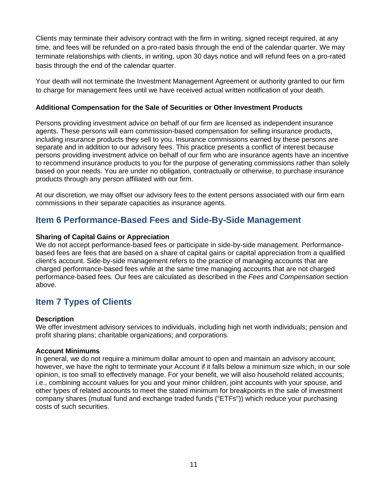Clients may terminate their advisory contract with the firm in writing, signed receipt required, at any time, and fees will be refunded on a pro-rated basis through the end of the calendar quarter. We may terminate relationships with clients, in writing, upon 30 days notice and will refund fees on a pro-rated basis through the end of the calendar quarter.

Your death will not terminate the Investment Management Agreement or authority granted to our firm to charge for management fees until we have received actual written notification of your death.

## **Additional Compensation for the Sale of Securities or Other Investment Products**

Persons providing investment advice on behalf of our firm are licensed as independent insurance agents. These persons will earn commission-based compensation for selling insurance products, including insurance products they sell to you. Insurance commissions earned by these persons are separate and in addition to our advisory fees. This practice presents a conflict of interest because persons providing investment advice on behalf of our firm who are insurance agents have an incentive to recommend insurance products to you for the purpose of generating commissions rather than solely based on your needs. You are under no obligation, contractually or otherwise, to purchase insurance products through any person affiliated with our firm.

At our discretion, we may offset our advisory fees to the extent persons associated with our firm earn commissions in their separate capacities as insurance agents.

# **Item 6 Performance-Based Fees and Side-By-Side Management**

## **Sharing of Capital Gains or Appreciation**

We do not accept performance-based fees or participate in side-by-side management. Performancebased fees are fees that are based on a share of capital gains or capital appreciation from a qualified client's account. Side-by-side management refers to the practice of managing accounts that are charged performance-based fees while at the same time managing accounts that are not charged performance-based fees. Our fees are calculated as described in the *Fees and Compensation* section above.

# **Item 7 Types of Clients**

## **Description**

We offer investment advisory services to individuals, including high net worth individuals; pension and profit sharing plans; charitable organizations; and corporations.

## **Account Minimums**

In general, we do not require a minimum dollar amount to open and maintain an advisory account; however, we have the right to terminate your Account if it falls below a minimum size which, in our sole opinion, is too small to effectively manage. For your benefit, we will also household related accounts; i.e., combining account values for you and your minor children, joint accounts with your spouse, and other types of related accounts to meet the stated minimum for breakpoints in the sale of investment company shares (mutual fund and exchange traded funds ("ETFs")) which reduce your purchasing costs of such securities.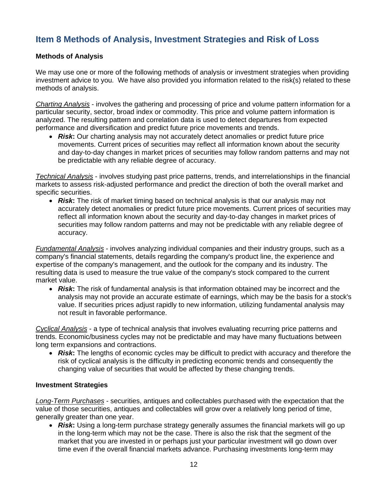# **Item 8 Methods of Analysis, Investment Strategies and Risk of Loss**

## **Methods of Analysis**

We may use one or more of the following methods of analysis or investment strategies when providing investment advice to you. We have also provided you information related to the risk(s) related to these methods of analysis.

*Charting Analysis* - involves the gathering and processing of price and volume pattern information for a particular security, sector, broad index or commodity. This price and volume pattern information is analyzed. The resulting pattern and correlation data is used to detect departures from expected performance and diversification and predict future price movements and trends.

• *Risk*: Our charting analysis may not accurately detect anomalies or predict future price movements. Current prices of securities may reflect all information known about the security and day-to-day changes in market prices of securities may follow random patterns and may not be predictable with any reliable degree of accuracy.

*Technical Analysis* - involves studying past price patterns, trends, and interrelationships in the financial markets to assess risk-adjusted performance and predict the direction of both the overall market and specific securities.

• **Risk:** The risk of market timing based on technical analysis is that our analysis may not accurately detect anomalies or predict future price movements. Current prices of securities may reflect all information known about the security and day-to-day changes in market prices of securities may follow random patterns and may not be predictable with any reliable degree of accuracy.

*Fundamental Analysis* - involves analyzing individual companies and their industry groups, such as a company's financial statements, details regarding the company's product line, the experience and expertise of the company's management, and the outlook for the company and its industry. The resulting data is used to measure the true value of the company's stock compared to the current market value.

• *Risk***:** The risk of fundamental analysis is that information obtained may be incorrect and the analysis may not provide an accurate estimate of earnings, which may be the basis for a stock's value. If securities prices adjust rapidly to new information, utilizing fundamental analysis may not result in favorable performance.

*Cyclical Analysis* - a type of technical analysis that involves evaluating recurring price patterns and trends. Economic/business cycles may not be predictable and may have many fluctuations between long term expansions and contractions.

• *Risk***:** The lengths of economic cycles may be difficult to predict with accuracy and therefore the risk of cyclical analysis is the difficulty in predicting economic trends and consequently the changing value of securities that would be affected by these changing trends.

#### **Investment Strategies**

*Long-Term Purchases* - securities, antiques and collectables purchased with the expectation that the value of those securities, antiques and collectables will grow over a relatively long period of time, generally greater than one year.

• **Risk:** Using a long-term purchase strategy generally assumes the financial markets will go up in the long-term which may not be the case. There is also the risk that the segment of the market that you are invested in or perhaps just your particular investment will go down over time even if the overall financial markets advance. Purchasing investments long-term may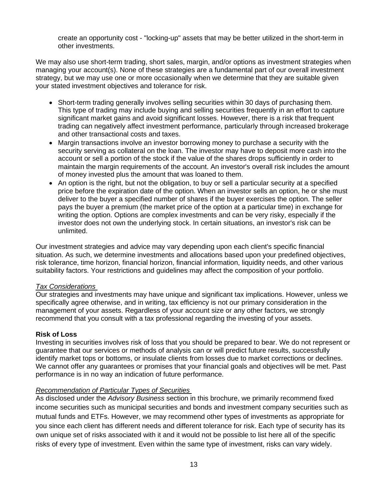create an opportunity cost - "locking-up" assets that may be better utilized in the short-term in other investments.

We may also use short-term trading, short sales, margin, and/or options as investment strategies when managing your account(s). None of these strategies are a fundamental part of our overall investment strategy, but we may use one or more occasionally when we determine that they are suitable given your stated investment objectives and tolerance for risk.

- Short-term trading generally involves selling securities within 30 days of purchasing them. This type of trading may include buying and selling securities frequently in an effort to capture significant market gains and avoid significant losses. However, there is a risk that frequent trading can negatively affect investment performance, particularly through increased brokerage and other transactional costs and taxes.
- Margin transactions involve an investor borrowing money to purchase a security with the security serving as collateral on the loan. The investor may have to deposit more cash into the account or sell a portion of the stock if the value of the shares drops sufficiently in order to maintain the margin requirements of the account. An investor's overall risk includes the amount of money invested plus the amount that was loaned to them.
- An option is the right, but not the obligation, to buy or sell a particular security at a specified price before the expiration date of the option. When an investor sells an option, he or she must deliver to the buyer a specified number of shares if the buyer exercises the option. The seller pays the buyer a premium (the market price of the option at a particular time) in exchange for writing the option. Options are complex investments and can be very risky, especially if the investor does not own the underlying stock. In certain situations, an investor's risk can be unlimited.

Our investment strategies and advice may vary depending upon each client's specific financial situation. As such, we determine investments and allocations based upon your predefined objectives, risk tolerance, time horizon, financial horizon, financial information, liquidity needs, and other various suitability factors. Your restrictions and guidelines may affect the composition of your portfolio.

## *Tax Considerations*

Our strategies and investments may have unique and significant tax implications. However, unless we specifically agree otherwise, and in writing, tax efficiency is not our primary consideration in the management of your assets. Regardless of your account size or any other factors, we strongly recommend that you consult with a tax professional regarding the investing of your assets.

## **Risk of Loss**

Investing in securities involves risk of loss that you should be prepared to bear. We do not represent or guarantee that our services or methods of analysis can or will predict future results, successfully identify market tops or bottoms, or insulate clients from losses due to market corrections or declines. We cannot offer any guarantees or promises that your financial goals and objectives will be met. Past performance is in no way an indication of future performance.

#### *Recommendation of Particular Types of Securities*

As disclosed under the *Advisory Business* section in this brochure, we primarily recommend fixed income securities such as municipal securities and bonds and investment company securities such as mutual funds and ETFs. However, we may recommend other types of investments as appropriate for you since each client has different needs and different tolerance for risk. Each type of security has its own unique set of risks associated with it and it would not be possible to list here all of the specific risks of every type of investment. Even within the same type of investment, risks can vary widely.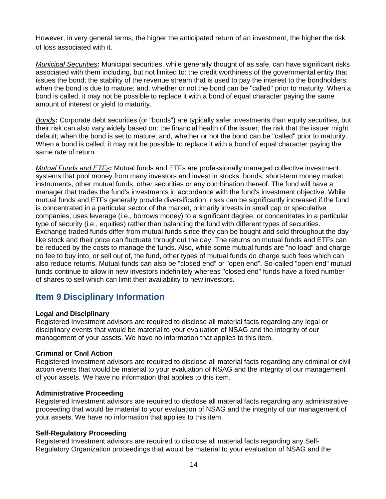However, in very general terms, the higher the anticipated return of an investment, the higher the risk of loss associated with it.

*Municipal Securities***:** Municipal securities, while generally thought of as safe, can have significant risks associated with them including, but not limited to: the credit worthiness of the governmental entity that issues the bond; the stability of the revenue stream that is used to pay the interest to the bondholders; when the bond is due to mature; and, whether or not the bond can be "called" prior to maturity. When a bond is called, it may not be possible to replace it with a bond of equal character paying the same amount of interest or yield to maturity.

*Bonds***:** Corporate debt securities (or "bonds") are typically safer investments than equity securities, but their risk can also vary widely based on: the financial health of the issuer; the risk that the issuer might default; when the bond is set to mature; and, whether or not the bond can be "called" prior to maturity. When a bond is called, it may not be possible to replace it with a bond of equal character paying the same rate of return.

*Mutual Funds and ETFs***:** Mutual funds and ETFs are professionally managed collective investment systems that pool money from many investors and invest in stocks, bonds, short-term money market instruments, other mutual funds, other securities or any combination thereof. The fund will have a manager that trades the fund's investments in accordance with the fund's investment objective. While mutual funds and ETFs generally provide diversification, risks can be significantly increased if the fund is concentrated in a particular sector of the market, primarily invests in small cap or speculative companies, uses leverage (i.e., borrows money) to a significant degree, or concentrates in a particular type of security (i.e., equities) rather than balancing the fund with different types of securities. Exchange traded funds differ from mutual funds since they can be bought and sold throughout the day like stock and their price can fluctuate throughout the day. The returns on mutual funds and ETFs can be reduced by the costs to manage the funds. Also, while some mutual funds are "no load" and charge no fee to buy into, or sell out of, the fund, other types of mutual funds do charge such fees which can also reduce returns. Mutual funds can also be "closed end" or "open end". So-called "open end" mutual funds continue to allow in new investors indefinitely whereas "closed end" funds have a fixed number of shares to sell which can limit their availability to new investors.

# **Item 9 Disciplinary Information**

## **Legal and Disciplinary**

Registered Investment advisors are required to disclose all material facts regarding any legal or disciplinary events that would be material to your evaluation of NSAG and the integrity of our management of your assets. We have no information that applies to this item.

## **Criminal or Civil Action**

Registered Investment advisors are required to disclose all material facts regarding any criminal or civil action events that would be material to your evaluation of NSAG and the integrity of our management of your assets. We have no information that applies to this item.

#### **Administrative Proceeding**

Registered Investment advisors are required to disclose all material facts regarding any administrative proceeding that would be material to your evaluation of NSAG and the integrity of our management of your assets. We have no information that applies to this item.

## **Self-Regulatory Proceeding**

Registered Investment advisors are required to disclose all material facts regarding any Self-Regulatory Organization proceedings that would be material to your evaluation of NSAG and the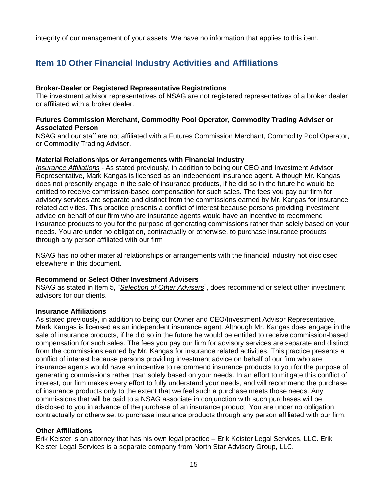integrity of our management of your assets. We have no information that applies to this item.

# **Item 10 Other Financial Industry Activities and Affiliations**

### **Broker-Dealer or Registered Representative Registrations**

The investment advisor representatives of NSAG are not registered representatives of a broker dealer or affiliated with a broker dealer.

#### **Futures Commission Merchant, Commodity Pool Operator, Commodity Trading Adviser or Associated Person**

NSAG and our staff are not affiliated with a Futures Commission Merchant, Commodity Pool Operator, or Commodity Trading Adviser.

#### **Material Relationships or Arrangements with Financial Industry**

*Insurance Affiliations* - As stated previously, in addition to being our CEO and Investment Advisor Representative, Mark Kangas is licensed as an independent insurance agent. Although Mr. Kangas does not presently engage in the sale of insurance products, if he did so in the future he would be entitled to receive commission-based compensation for such sales. The fees you pay our firm for advisory services are separate and distinct from the commissions earned by Mr. Kangas for insurance related activities. This practice presents a conflict of interest because persons providing investment advice on behalf of our firm who are insurance agents would have an incentive to recommend insurance products to you for the purpose of generating commissions rather than solely based on your needs. You are under no obligation, contractually or otherwise, to purchase insurance products through any person affiliated with our firm

NSAG has no other material relationships or arrangements with the financial industry not disclosed elsewhere in this document.

#### **Recommend or Select Other Investment Advisers**

NSAG as stated in Item 5, "*Selection of Other Advisers*", does recommend or select other investment advisors for our clients.

#### **Insurance Affiliations**

As stated previously, in addition to being our Owner and CEO/Investment Advisor Representative, Mark Kangas is licensed as an independent insurance agent. Although Mr. Kangas does engage in the sale of insurance products, if he did so in the future he would be entitled to receive commission-based compensation for such sales. The fees you pay our firm for advisory services are separate and distinct from the commissions earned by Mr. Kangas for insurance related activities. This practice presents a conflict of interest because persons providing investment advice on behalf of our firm who are insurance agents would have an incentive to recommend insurance products to you for the purpose of generating commissions rather than solely based on your needs. In an effort to mitigate this conflict of interest, our firm makes every effort to fully understand your needs, and will recommend the purchase of insurance products only to the extent that we feel such a purchase meets those needs. Any commissions that will be paid to a NSAG associate in conjunction with such purchases will be disclosed to you in advance of the purchase of an insurance product. You are under no obligation, contractually or otherwise, to purchase insurance products through any person affiliated with our firm.

#### **Other Affiliations**

Erik Keister is an attorney that has his own legal practice – Erik Keister Legal Services, LLC. Erik Keister Legal Services is a separate company from North Star Advisory Group, LLC.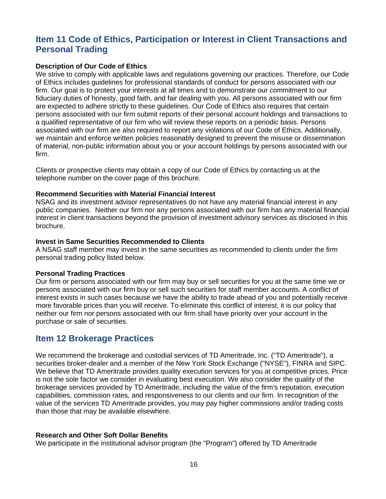# **Item 11 Code of Ethics, Participation or Interest in Client Transactions and Personal Trading**

#### **Description of Our Code of Ethics**

We strive to comply with applicable laws and regulations governing our practices. Therefore, our Code of Ethics includes guidelines for professional standards of conduct for persons associated with our firm. Our goal is to protect your interests at all times and to demonstrate our commitment to our fiduciary duties of honesty, good faith, and fair dealing with you. All persons associated with our firm are expected to adhere strictly to these guidelines. Our Code of Ethics also requires that certain persons associated with our firm submit reports of their personal account holdings and transactions to a qualified representative of our firm who will review these reports on a periodic basis. Persons associated with our firm are also required to report any violations of our Code of Ethics. Additionally, we maintain and enforce written policies reasonably designed to prevent the misuse or dissemination of material, non-public information about you or your account holdings by persons associated with our firm.

Clients or prospective clients may obtain a copy of our Code of Ethics by contacting us at the telephone number on the cover page of this brochure.

#### **Recommend Securities with Material Financial Interest**

NSAG and its investment advisor representatives do not have any material financial interest in any public companies. Neither our firm nor any persons associated with our firm has any material financial interest in client transactions beyond the provision of investment advisory services as disclosed in this brochure.

#### **Invest in Same Securities Recommended to Clients**

A NSAG staff member may invest in the same securities as recommended to clients under the firm personal trading policy listed below.

#### **Personal Trading Practices**

Our firm or persons associated with our firm may buy or sell securities for you at the same time we or persons associated with our firm buy or sell such securities for staff member accounts. A conflict of interest exists in such cases because we have the ability to trade ahead of you and potentially receive more favorable prices than you will receive. To eliminate this conflict of interest, it is our policy that neither our firm nor persons associated with our firm shall have priority over your account in the purchase or sale of securities.

# **Item 12 Brokerage Practices**

We recommend the brokerage and custodial services of TD Ameritrade, Inc. ("TD Ameritrade"), a securities broker-dealer and a member of the New York Stock Exchange ("NYSE"), FINRA and SIPC. We believe that TD Ameritrade provides quality execution services for you at competitive prices. Price is not the sole factor we consider in evaluating best execution. We also consider the quality of the brokerage services provided by TD Ameritrade, including the value of the firm's reputation, execution capabilities, commission rates, and responsiveness to our clients and our firm. In recognition of the value of the services TD Ameritrade provides, you may pay higher commissions and/or trading costs than those that may be available elsewhere.

## **Research and Other Soft Dollar Benefits**

We participate in the institutional advisor program (the "Program") offered by TD Ameritrade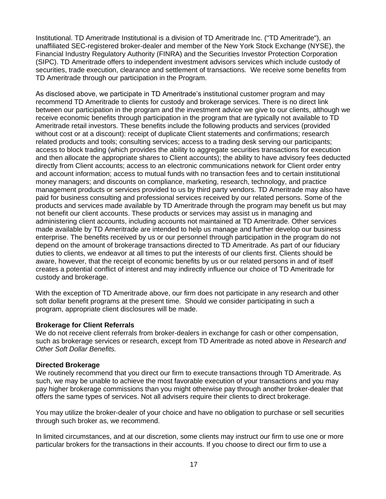Institutional. TD Ameritrade Institutional is a division of TD Ameritrade Inc. ("TD Ameritrade"), an unaffiliated SEC-registered broker-dealer and member of the New York Stock Exchange (NYSE), the Financial Industry Regulatory Authority (FINRA) and the Securities Investor Protection Corporation (SIPC). TD Ameritrade offers to independent investment advisors services which include custody of securities, trade execution, clearance and settlement of transactions. We receive some benefits from TD Ameritrade through our participation in the Program.

As disclosed above, we participate in TD Ameritrade's institutional customer program and may recommend TD Ameritrade to clients for custody and brokerage services. There is no direct link between our participation in the program and the investment advice we give to our clients, although we receive economic benefits through participation in the program that are typically not available to TD Ameritrade retail investors. These benefits include the following products and services (provided without cost or at a discount): receipt of duplicate Client statements and confirmations; research related products and tools; consulting services; access to a trading desk serving our participants; access to block trading (which provides the ability to aggregate securities transactions for execution and then allocate the appropriate shares to Client accounts); the ability to have advisory fees deducted directly from Client accounts; access to an electronic communications network for Client order entry and account information; access to mutual funds with no transaction fees and to certain institutional money managers; and discounts on compliance, marketing, research, technology, and practice management products or services provided to us by third party vendors. TD Ameritrade may also have paid for business consulting and professional services received by our related persons. Some of the products and services made available by TD Ameritrade through the program may benefit us but may not benefit our client accounts. These products or services may assist us in managing and administering client accounts, including accounts not maintained at TD Ameritrade. Other services made available by TD Ameritrade are intended to help us manage and further develop our business enterprise. The benefits received by us or our personnel through participation in the program do not depend on the amount of brokerage transactions directed to TD Ameritrade. As part of our fiduciary duties to clients, we endeavor at all times to put the interests of our clients first. Clients should be aware, however, that the receipt of economic benefits by us or our related persons in and of itself creates a potential conflict of interest and may indirectly influence our choice of TD Ameritrade for custody and brokerage.

With the exception of TD Ameritrade above, our firm does not participate in any research and other soft dollar benefit programs at the present time. Should we consider participating in such a program, appropriate client disclosures will be made.

#### **Brokerage for Client Referrals**

We do not receive client referrals from broker-dealers in exchange for cash or other compensation, such as brokerage services or research, except from TD Ameritrade as noted above in *Research and Other Soft Dollar Benefits.*

#### **Directed Brokerage**

We routinely recommend that you direct our firm to execute transactions through TD Ameritrade. As such, we may be unable to achieve the most favorable execution of your transactions and you may pay higher brokerage commissions than you might otherwise pay through another broker-dealer that offers the same types of services. Not all advisers require their clients to direct brokerage.

You may utilize the broker-dealer of your choice and have no obligation to purchase or sell securities through such broker as, we recommend.

In limited circumstances, and at our discretion, some clients may instruct our firm to use one or more particular brokers for the transactions in their accounts. If you choose to direct our firm to use a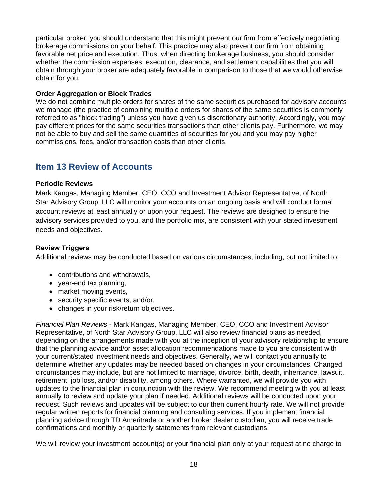particular broker, you should understand that this might prevent our firm from effectively negotiating brokerage commissions on your behalf. This practice may also prevent our firm from obtaining favorable net price and execution. Thus, when directing brokerage business, you should consider whether the commission expenses, execution, clearance, and settlement capabilities that you will obtain through your broker are adequately favorable in comparison to those that we would otherwise obtain for you.

## **Order Aggregation or Block Trades**

We do not combine multiple orders for shares of the same securities purchased for advisory accounts we manage (the practice of combining multiple orders for shares of the same securities is commonly referred to as "block trading") unless you have given us discretionary authority. Accordingly, you may pay different prices for the same securities transactions than other clients pay. Furthermore, we may not be able to buy and sell the same quantities of securities for you and you may pay higher commissions, fees, and/or transaction costs than other clients.

# **Item 13 Review of Accounts**

## **Periodic Reviews**

Mark Kangas, Managing Member, CEO, CCO and Investment Advisor Representative, of North Star Advisory Group, LLC will monitor your accounts on an ongoing basis and will conduct formal account reviews at least annually or upon your request. The reviews are designed to ensure the advisory services provided to you, and the portfolio mix, are consistent with your stated investment needs and objectives.

## **Review Triggers**

Additional reviews may be conducted based on various circumstances, including, but not limited to:

- contributions and withdrawals,
- year-end tax planning,
- market moving events,
- security specific events, and/or,
- changes in your risk/return objectives.

*Financial Plan Reviews -* Mark Kangas, Managing Member, CEO, CCO and Investment Advisor Representative, of North Star Advisory Group, LLC will also review financial plans as needed, depending on the arrangements made with you at the inception of your advisory relationship to ensure that the planning advice and/or asset allocation recommendations made to you are consistent with your current/stated investment needs and objectives. Generally, we will contact you annually to determine whether any updates may be needed based on changes in your circumstances. Changed circumstances may include, but are not limited to marriage, divorce, birth, death, inheritance, lawsuit, retirement, job loss, and/or disability, among others. Where warranted, we will provide you with updates to the financial plan in conjunction with the review. We recommend meeting with you at least annually to review and update your plan if needed. Additional reviews will be conducted upon your request. Such reviews and updates will be subject to our then current hourly rate. We will not provide regular written reports for financial planning and consulting services. If you implement financial planning advice through TD Ameritrade or another broker dealer custodian, you will receive trade confirmations and monthly or quarterly statements from relevant custodians.

We will review your investment account(s) or your financial plan only at your request at no charge to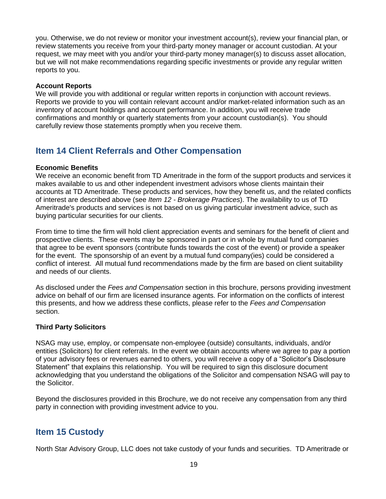you. Otherwise, we do not review or monitor your investment account(s), review your financial plan, or review statements you receive from your third-party money manager or account custodian. At your request, we may meet with you and/or your third-party money manager(s) to discuss asset allocation, but we will not make recommendations regarding specific investments or provide any regular written reports to you.

#### **Account Reports**

We will provide you with additional or regular written reports in conjunction with account reviews. Reports we provide to you will contain relevant account and/or market-related information such as an inventory of account holdings and account performance. In addition, you will receive trade confirmations and monthly or quarterly statements from your account custodian(s). You should carefully review those statements promptly when you receive them.

# **Item 14 Client Referrals and Other Compensation**

## **Economic Benefits**

We receive an economic benefit from TD Ameritrade in the form of the support products and services it makes available to us and other independent investment advisors whose clients maintain their accounts at TD Ameritrade. These products and services, how they benefit us, and the related conflicts of interest are described above (see *Item 12 - Brokerage Practices*). The availability to us of TD Ameritrade's products and services is not based on us giving particular investment advice, such as buying particular securities for our clients.

From time to time the firm will hold client appreciation events and seminars for the benefit of client and prospective clients. These events may be sponsored in part or in whole by mutual fund companies that agree to be event sponsors (contribute funds towards the cost of the event) or provide a speaker for the event. The sponsorship of an event by a mutual fund company(ies) could be considered a conflict of interest. All mutual fund recommendations made by the firm are based on client suitability and needs of our clients.

As disclosed under the *Fees and Compensation* section in this brochure, persons providing investment advice on behalf of our firm are licensed insurance agents. For information on the conflicts of interest this presents, and how we address these conflicts, please refer to the *Fees and Compensation* section.

## **Third Party Solicitors**

NSAG may use, employ, or compensate non-employee (outside) consultants, individuals, and/or entities (Solicitors) for client referrals. In the event we obtain accounts where we agree to pay a portion of your advisory fees or revenues earned to others, you will receive a copy of a "Solicitor's Disclosure Statement" that explains this relationship. You will be required to sign this disclosure document acknowledging that you understand the obligations of the Solicitor and compensation NSAG will pay to the Solicitor.

Beyond the disclosures provided in this Brochure, we do not receive any compensation from any third party in connection with providing investment advice to you.

# **Item 15 Custody**

North Star Advisory Group, LLC does not take custody of your funds and securities. TD Ameritrade or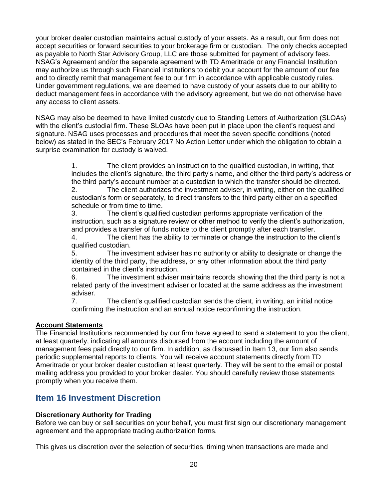your broker dealer custodian maintains actual custody of your assets. As a result, our firm does not accept securities or forward securities to your brokerage firm or custodian. The only checks accepted as payable to North Star Advisory Group, LLC are those submitted for payment of advisory fees. NSAG's Agreement and/or the separate agreement with TD Ameritrade or any Financial Institution may authorize us through such Financial Institutions to debit your account for the amount of our fee and to directly remit that management fee to our firm in accordance with applicable custody rules. Under government regulations, we are deemed to have custody of your assets due to our ability to deduct management fees in accordance with the advisory agreement, but we do not otherwise have any access to client assets.

NSAG may also be deemed to have limited custody due to Standing Letters of Authorization (SLOAs) with the client's custodial firm. These SLOAs have been put in place upon the client's request and signature. NSAG uses processes and procedures that meet the seven specific conditions (noted below) as stated in the SEC's February 2017 No Action Letter under which the obligation to obtain a surprise examination for custody is waived.

> 1. The client provides an instruction to the qualified custodian, in writing, that includes the client's signature, the third party's name, and either the third party's address or the third party's account number at a custodian to which the transfer should be directed. 2. The client authorizes the investment adviser, in writing, either on the qualified custodian's form or separately, to direct transfers to the third party either on a specified schedule or from time to time.

3. The client's qualified custodian performs appropriate verification of the instruction, such as a signature review or other method to verify the client's authorization, and provides a transfer of funds notice to the client promptly after each transfer.

4. The client has the ability to terminate or change the instruction to the client's qualified custodian.

5. The investment adviser has no authority or ability to designate or change the identity of the third party, the address, or any other information about the third party contained in the client's instruction.

6. The investment adviser maintains records showing that the third party is not a related party of the investment adviser or located at the same address as the investment adviser.

7. The client's qualified custodian sends the client, in writing, an initial notice confirming the instruction and an annual notice reconfirming the instruction.

## **Account Statements**

The Financial Institutions recommended by our firm have agreed to send a statement to you the client, at least quarterly, indicating all amounts disbursed from the account including the amount of management fees paid directly to our firm. In addition, as discussed in Item 13, our firm also sends periodic supplemental reports to clients. You will receive account statements directly from TD Ameritrade or your broker dealer custodian at least quarterly. They will be sent to the email or postal mailing address you provided to your broker dealer. You should carefully review those statements promptly when you receive them.

# **Item 16 Investment Discretion**

## **Discretionary Authority for Trading**

Before we can buy or sell securities on your behalf, you must first sign our discretionary management agreement and the appropriate trading authorization forms.

This gives us discretion over the selection of securities, timing when transactions are made and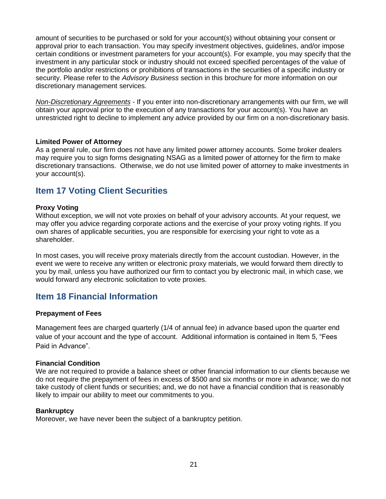amount of securities to be purchased or sold for your account(s) without obtaining your consent or approval prior to each transaction. You may specify investment objectives, guidelines, and/or impose certain conditions or investment parameters for your account(s). For example, you may specify that the investment in any particular stock or industry should not exceed specified percentages of the value of the portfolio and/or restrictions or prohibitions of transactions in the securities of a specific industry or security. Please refer to the *Advisory Business* section in this brochure for more information on our discretionary management services.

*Non-Discretionary Agreements* - If you enter into non-discretionary arrangements with our firm, we will obtain your approval prior to the execution of any transactions for your account(s). You have an unrestricted right to decline to implement any advice provided by our firm on a non-discretionary basis.

#### **Limited Power of Attorney**

As a general rule, our firm does not have any limited power attorney accounts. Some broker dealers may require you to sign forms designating NSAG as a limited power of attorney for the firm to make discretionary transactions. Otherwise, we do not use limited power of attorney to make investments in your account(s).

## **Item 17 Voting Client Securities**

#### **Proxy Voting**

Without exception, we will not vote proxies on behalf of your advisory accounts. At your request, we may offer you advice regarding corporate actions and the exercise of your proxy voting rights. If you own shares of applicable securities, you are responsible for exercising your right to vote as a shareholder.

In most cases, you will receive proxy materials directly from the account custodian. However, in the event we were to receive any written or electronic proxy materials, we would forward them directly to you by mail, unless you have authorized our firm to contact you by electronic mail, in which case, we would forward any electronic solicitation to vote proxies.

# **Item 18 Financial Information**

#### **Prepayment of Fees**

Management fees are charged quarterly (1/4 of annual fee) in advance based upon the quarter end value of your account and the type of account. Additional information is contained in Item 5, "Fees Paid in Advance".

#### **Financial Condition**

We are not required to provide a balance sheet or other financial information to our clients because we do not require the prepayment of fees in excess of \$500 and six months or more in advance; we do not take custody of client funds or securities; and, we do not have a financial condition that is reasonably likely to impair our ability to meet our commitments to you.

#### **Bankruptcy**

Moreover, we have never been the subject of a bankruptcy petition.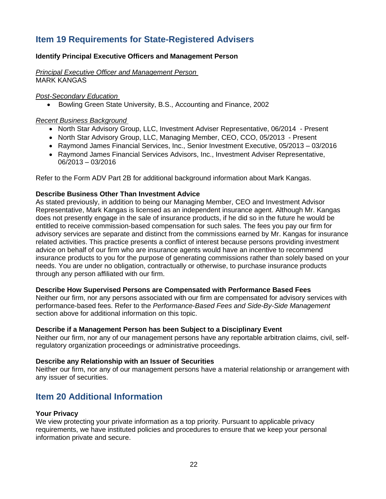# **Item 19 Requirements for State-Registered Advisers**

## **Identify Principal Executive Officers and Management Person**

*Principal Executive Officer and Management Person*  MARK KANGAS

*Post-Secondary Education* 

• Bowling Green State University, B.S., Accounting and Finance, 2002

#### *Recent Business Background*

- North Star Advisory Group, LLC, Investment Adviser Representative, 06/2014 Present
- North Star Advisory Group, LLC, Managing Member, CEO, CCO, 05/2013 Present
- Raymond James Financial Services, Inc., Senior Investment Executive, 05/2013 03/2016
- Raymond James Financial Services Advisors, Inc., Investment Adviser Representative, 06/2013 – 03/2016

Refer to the Form ADV Part 2B for additional background information about Mark Kangas.

### **Describe Business Other Than Investment Advice**

As stated previously, in addition to being our Managing Member, CEO and Investment Advisor Representative, Mark Kangas is licensed as an independent insurance agent. Although Mr. Kangas does not presently engage in the sale of insurance products, if he did so in the future he would be entitled to receive commission-based compensation for such sales. The fees you pay our firm for advisory services are separate and distinct from the commissions earned by Mr. Kangas for insurance related activities. This practice presents a conflict of interest because persons providing investment advice on behalf of our firm who are insurance agents would have an incentive to recommend insurance products to you for the purpose of generating commissions rather than solely based on your needs. You are under no obligation, contractually or otherwise, to purchase insurance products through any person affiliated with our firm.

#### **Describe How Supervised Persons are Compensated with Performance Based Fees**

Neither our firm, nor any persons associated with our firm are compensated for advisory services with performance-based fees. Refer to the *Performance-Based Fees and Side-By-Side Management* section above for additional information on this topic.

#### **Describe if a Management Person has been Subject to a Disciplinary Event**

Neither our firm, nor any of our management persons have any reportable arbitration claims, civil, selfregulatory organization proceedings or administrative proceedings.

#### **Describe any Relationship with an Issuer of Securities**

Neither our firm, nor any of our management persons have a material relationship or arrangement with any issuer of securities.

## **Item 20 Additional Information**

#### **Your Privacy**

We view protecting your private information as a top priority. Pursuant to applicable privacy requirements, we have instituted policies and procedures to ensure that we keep your personal information private and secure.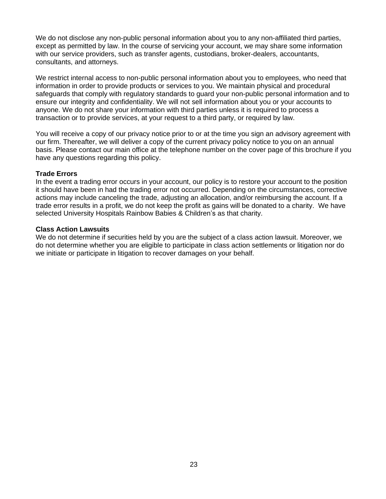We do not disclose any non-public personal information about you to any non-affiliated third parties, except as permitted by law. In the course of servicing your account, we may share some information with our service providers, such as transfer agents, custodians, broker-dealers, accountants, consultants, and attorneys.

We restrict internal access to non-public personal information about you to employees, who need that information in order to provide products or services to you. We maintain physical and procedural safeguards that comply with regulatory standards to guard your non-public personal information and to ensure our integrity and confidentiality. We will not sell information about you or your accounts to anyone. We do not share your information with third parties unless it is required to process a transaction or to provide services, at your request to a third party, or required by law.

You will receive a copy of our privacy notice prior to or at the time you sign an advisory agreement with our firm. Thereafter, we will deliver a copy of the current privacy policy notice to you on an annual basis. Please contact our main office at the telephone number on the cover page of this brochure if you have any questions regarding this policy.

#### **Trade Errors**

In the event a trading error occurs in your account, our policy is to restore your account to the position it should have been in had the trading error not occurred. Depending on the circumstances, corrective actions may include canceling the trade, adjusting an allocation, and/or reimbursing the account. If a trade error results in a profit, we do not keep the profit as gains will be donated to a charity. We have selected University Hospitals Rainbow Babies & Children's as that charity.

#### **Class Action Lawsuits**

We do not determine if securities held by you are the subject of a class action lawsuit. Moreover, we do not determine whether you are eligible to participate in class action settlements or litigation nor do we initiate or participate in litigation to recover damages on your behalf.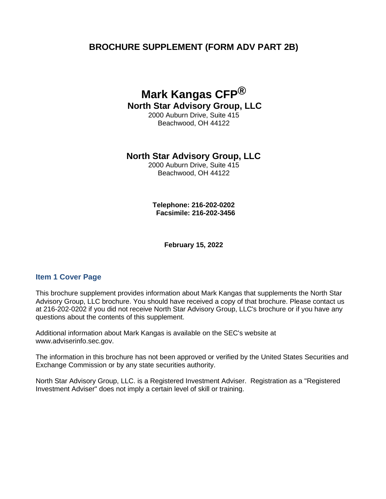# **BROCHURE SUPPLEMENT (FORM ADV PART 2B)**

# **Mark Kangas CFP® North Star Advisory Group, LLC**

2000 Auburn Drive, Suite 415 Beachwood, OH 44122

## **North Star Advisory Group, LLC**

2000 Auburn Drive, Suite 415 Beachwood, OH 44122

**Telephone: 216-202-0202 Facsimile: 216-202-3456** 

**February 15, 2022**

## **Item 1 Cover Page**

This brochure supplement provides information about Mark Kangas that supplements the North Star Advisory Group, LLC brochure. You should have received a copy of that brochure. Please contact us at 216-202-0202 if you did not receive North Star Advisory Group, LLC's brochure or if you have any questions about the contents of this supplement.

Additional information about Mark Kangas is available on the SEC's website at www.adviserinfo.sec.gov.

The information in this brochure has not been approved or verified by the United States Securities and Exchange Commission or by any state securities authority.

North Star Advisory Group, LLC. is a Registered Investment Adviser. Registration as a "Registered Investment Adviser" does not imply a certain level of skill or training.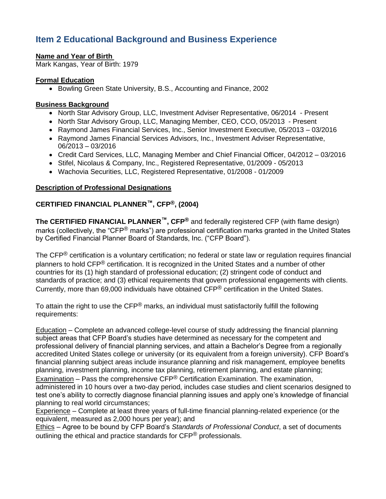# **Item 2 Educational Background and Business Experience**

## **Name and Year of Birth**

Mark Kangas, Year of Birth: 1979

## **Formal Education**

• Bowling Green State University, B.S., Accounting and Finance, 2002

## **Business Background**

- North Star Advisory Group, LLC, Investment Adviser Representative, 06/2014 Present
- North Star Advisory Group, LLC, Managing Member, CEO, CCO, 05/2013 Present
- Raymond James Financial Services, Inc., Senior Investment Executive, 05/2013 03/2016
- Raymond James Financial Services Advisors, Inc., Investment Adviser Representative, 06/2013 – 03/2016
- Credit Card Services, LLC, Managing Member and Chief Financial Officer, 04/2012 03/2016
- Stifel, Nicolaus & Company, Inc., Registered Representative, 01/2009 05/2013
- Wachovia Securities, LLC, Registered Representative, 01/2008 01/2009

## **Description of Professional Designations**

# **CERTIFIED FINANCIAL PLANNER™, CFP®, (2004)**

**The CERTIFIED FINANCIAL PLANNER™, CFP®** and federally registered CFP (with flame design) marks (collectively, the "CFP® marks") are professional certification marks granted in the United States by Certified Financial Planner Board of Standards, Inc. ("CFP Board").

The CFP<sup>®</sup> certification is a voluntary certification; no federal or state law or regulation requires financial planners to hold CFP<sup>®</sup> certification. It is recognized in the United States and a number of other countries for its (1) high standard of professional education; (2) stringent code of conduct and standards of practice; and (3) ethical requirements that govern professional engagements with clients. Currently, more than 69,000 individuals have obtained CFP® certification in the United States.

To attain the right to use the CFP<sup>®</sup> marks, an individual must satisfactorily fulfill the following requirements:

Education – Complete an advanced college-level course of study addressing the financial planning subject areas that CFP Board's studies have determined as necessary for the competent and professional delivery of financial planning services, and attain a Bachelor's Degree from a regionally accredited United States college or university (or its equivalent from a foreign university). CFP Board's financial planning subject areas include insurance planning and risk management, employee benefits planning, investment planning, income tax planning, retirement planning, and estate planning;

Examination – Pass the comprehensive  $\text{CFP}^{\textcircled{6}}$  Certification Examination. The examination, administered in 10 hours over a two-day period, includes case studies and client scenarios designed to test one's ability to correctly diagnose financial planning issues and apply one's knowledge of financial planning to real world circumstances;

Experience – Complete at least three years of full-time financial planning-related experience (or the equivalent, measured as 2,000 hours per year); and

Ethics – Agree to be bound by CFP Board's *Standards of Professional Conduct*, a set of documents outlining the ethical and practice standards for CFP<sup>®</sup> professionals.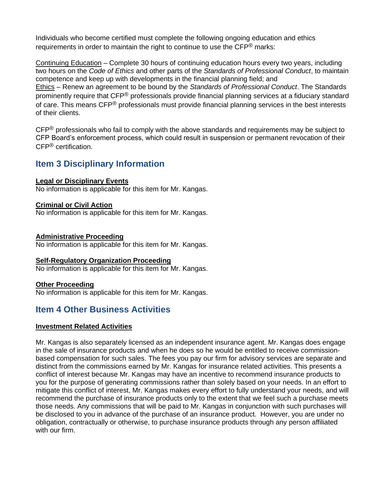Individuals who become certified must complete the following ongoing education and ethics requirements in order to maintain the right to continue to use the  $\text{CF}^{\textcircled{\tiny{\textcirc}}}$  marks:

Continuing Education – Complete 30 hours of continuing education hours every two years, including two hours on the *Code of Ethics* and other parts of the *Standards of Professional Conduct*, to maintain competence and keep up with developments in the financial planning field; and Ethics – Renew an agreement to be bound by the *Standards of Professional Conduct*. The Standards prominently require that CFP® professionals provide financial planning services at a fiduciary standard of care. This means CFP<sup>®</sup> professionals must provide financial planning services in the best interests of their clients.

 $CFP^{\circledR}$  professionals who fail to comply with the above standards and requirements may be subject to CFP Board's enforcement process, which could result in suspension or permanent revocation of their CFP® certification.

# **Item 3 Disciplinary Information**

## **Legal or Disciplinary Events**

No information is applicable for this item for Mr. Kangas.

## **Criminal or Civil Action**

No information is applicable for this item for Mr. Kangas.

## **Administrative Proceeding**

No information is applicable for this item for Mr. Kangas.

## **Self-Regulatory Organization Proceeding**

No information is applicable for this item for Mr. Kangas.

## **Other Proceeding**

No information is applicable for this item for Mr. Kangas.

# **Item 4 Other Business Activities**

## **Investment Related Activities**

Mr. Kangas is also separately licensed as an independent insurance agent. Mr. Kangas does engage in the sale of insurance products and when he does so he would be entitled to receive commissionbased compensation for such sales. The fees you pay our firm for advisory services are separate and distinct from the commissions earned by Mr. Kangas for insurance related activities. This presents a conflict of interest because Mr. Kangas may have an incentive to recommend insurance products to you for the purpose of generating commissions rather than solely based on your needs. In an effort to mitigate this conflict of interest, Mr. Kangas makes every effort to fully understand your needs, and will recommend the purchase of insurance products only to the extent that we feel such a purchase meets those needs. Any commissions that will be paid to Mr. Kangas in conjunction with such purchases will be disclosed to you in advance of the purchase of an insurance product. However, you are under no obligation, contractually or otherwise, to purchase insurance products through any person affiliated with our firm.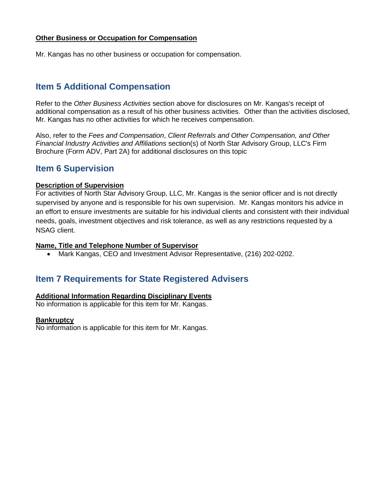## **Other Business or Occupation for Compensation**

Mr. Kangas has no other business or occupation for compensation.

# **Item 5 Additional Compensation**

Refer to the *Other Business Activities* section above for disclosures on Mr. Kangas's receipt of additional compensation as a result of his other business activities. Other than the activities disclosed, Mr. Kangas has no other activities for which he receives compensation.

Also, refer to the *Fees and Compensation*, *Client Referrals and Other Compensation, and Other Financial Industry Activities and Affiliations* section(s) of North Star Advisory Group, LLC's Firm Brochure (Form ADV, Part 2A) for additional disclosures on this topic

## **Item 6 Supervision**

#### **Description of Supervision**

For activities of North Star Advisory Group, LLC, Mr. Kangas is the senior officer and is not directly supervised by anyone and is responsible for his own supervision. Mr. Kangas monitors his advice in an effort to ensure investments are suitable for his individual clients and consistent with their individual needs, goals, investment objectives and risk tolerance, as well as any restrictions requested by a NSAG client.

#### **Name, Title and Telephone Number of Supervisor**

• Mark Kangas, CEO and Investment Advisor Representative, (216) 202-0202.

## **Item 7 Requirements for State Registered Advisers**

### **Additional Information Regarding Disciplinary Events**

No information is applicable for this item for Mr. Kangas.

#### **Bankruptcy**

No information is applicable for this item for Mr. Kangas.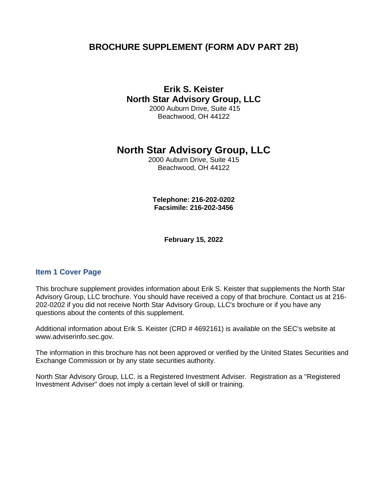# **BROCHURE SUPPLEMENT (FORM ADV PART 2B)**

# **Erik S. Keister North Star Advisory Group, LLC**

2000 Auburn Drive, Suite 415 Beachwood, OH 44122

# **North Star Advisory Group, LLC**

2000 Auburn Drive, Suite 415 Beachwood, OH 44122

**Telephone: 216-202-0202 Facsimile: 216-202-3456** 

**February 15, 2022**

## **Item 1 Cover Page**

This brochure supplement provides information about Erik S. Keister that supplements the North Star Advisory Group, LLC brochure. You should have received a copy of that brochure. Contact us at 216- 202-0202 if you did not receive North Star Advisory Group, LLC's brochure or if you have any questions about the contents of this supplement.

Additional information about Erik S. Keister (CRD # 4692161) is available on the SEC's website at www.adviserinfo.sec.gov.

The information in this brochure has not been approved or verified by the United States Securities and Exchange Commission or by any state securities authority.

North Star Advisory Group, LLC. is a Registered Investment Adviser. Registration as a "Registered Investment Adviser" does not imply a certain level of skill or training.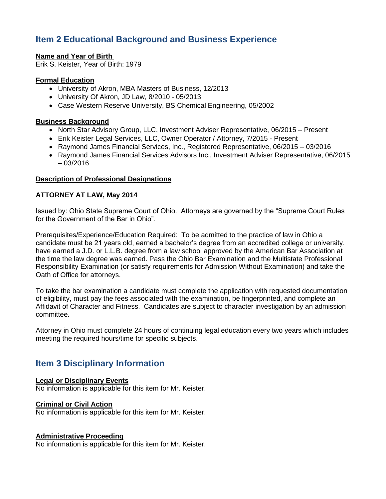# **Item 2 Educational Background and Business Experience**

## **Name and Year of Birth**

Erik S. Keister, Year of Birth: 1979

### **Formal Education**

- University of Akron, MBA Masters of Business, 12/2013
- University Of Akron, JD Law, 8/2010 05/2013
- Case Western Reserve University, BS Chemical Engineering, 05/2002

### **Business Background**

- North Star Advisory Group, LLC, Investment Adviser Representative, 06/2015 Present
- Erik Keister Legal Services, LLC, Owner Operator / Attorney, 7/2015 Present
- Raymond James Financial Services, Inc., Registered Representative, 06/2015 03/2016
- Raymond James Financial Services Advisors Inc., Investment Adviser Representative, 06/2015 – 03/2016

#### **Description of Professional Designations**

#### **ATTORNEY AT LAW, May 2014**

Issued by: Ohio State Supreme Court of Ohio. Attorneys are governed by the "Supreme Court Rules for the Government of the Bar in Ohio".

Prerequisites/Experience/Education Required: To be admitted to the practice of law in Ohio a candidate must be 21 years old, earned a bachelor's degree from an accredited college or university, have earned a J.D. or L.L.B. degree from a law school approved by the American Bar Association at the time the law degree was earned. Pass the Ohio Bar Examination and the Multistate Professional Responsibility Examination (or satisfy requirements for Admission Without Examination) and take the Oath of Office for attorneys.

To take the bar examination a candidate must complete the application with requested documentation of eligibility, must pay the fees associated with the examination, be fingerprinted, and complete an Affidavit of Character and Fitness. Candidates are subject to character investigation by an admission committee.

Attorney in Ohio must complete 24 hours of continuing legal education every two years which includes meeting the required hours/time for specific subjects.

# **Item 3 Disciplinary Information**

#### **Legal or Disciplinary Events**

No information is applicable for this item for Mr. Keister.

## **Criminal or Civil Action**

No information is applicable for this item for Mr. Keister.

## **Administrative Proceeding**

No information is applicable for this item for Mr. Keister.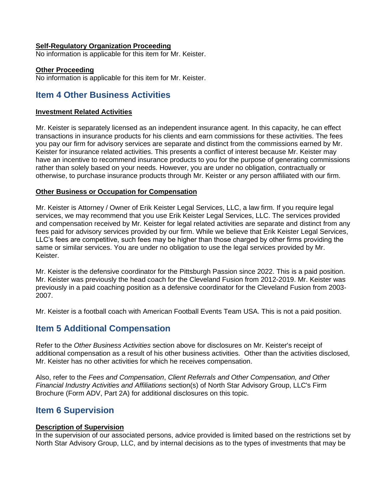#### **Self-Regulatory Organization Proceeding**

No information is applicable for this item for Mr. Keister.

#### **Other Proceeding**

No information is applicable for this item for Mr. Keister.

## **Item 4 Other Business Activities**

#### **Investment Related Activities**

Mr. Keister is separately licensed as an independent insurance agent. In this capacity, he can effect transactions in insurance products for his clients and earn commissions for these activities. The fees you pay our firm for advisory services are separate and distinct from the commissions earned by Mr. Keister for insurance related activities. This presents a conflict of interest because Mr. Keister may have an incentive to recommend insurance products to you for the purpose of generating commissions rather than solely based on your needs. However, you are under no obligation, contractually or otherwise, to purchase insurance products through Mr. Keister or any person affiliated with our firm.

#### **Other Business or Occupation for Compensation**

Mr. Keister is Attorney / Owner of Erik Keister Legal Services, LLC, a law firm. If you require legal services, we may recommend that you use Erik Keister Legal Services, LLC. The services provided and compensation received by Mr. Keister for legal related activities are separate and distinct from any fees paid for advisory services provided by our firm. While we believe that Erik Keister Legal Services, LLC's fees are competitive, such fees may be higher than those charged by other firms providing the same or similar services. You are under no obligation to use the legal services provided by Mr. Keister.

Mr. Keister is the defensive coordinator for the Pittsburgh Passion since 2022. This is a paid position. Mr. Keister was previously the head coach for the Cleveland Fusion from 2012-2019. Mr. Keister was previously in a paid coaching position as a defensive coordinator for the Cleveland Fusion from 2003- 2007.

Mr. Keister is a football coach with American Football Events Team USA. This is not a paid position.

# **Item 5 Additional Compensation**

Refer to the *Other Business Activities* section above for disclosures on Mr. Keister's receipt of additional compensation as a result of his other business activities. Other than the activities disclosed, Mr. Keister has no other activities for which he receives compensation.

Also, refer to the *Fees and Compensation*, *Client Referrals and Other Compensation, and Other Financial Industry Activities and Affiliations* section(s) of North Star Advisory Group, LLC's Firm Brochure (Form ADV, Part 2A) for additional disclosures on this topic.

## **Item 6 Supervision**

#### **Description of Supervision**

In the supervision of our associated persons, advice provided is limited based on the restrictions set by North Star Advisory Group, LLC, and by internal decisions as to the types of investments that may be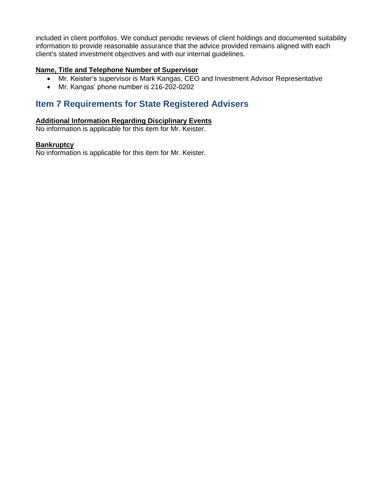included in client portfolios. We conduct periodic reviews of client holdings and documented suitability information to provide reasonable assurance that the advice provided remains aligned with each client's stated investment objectives and with our internal guidelines.

## **Name, Title and Telephone Number of Supervisor**

- Mr. Keister's supervisor is Mark Kangas, CEO and Investment Advisor Representative
- Mr. Kangas' phone number is 216-202-0202

# **Item 7 Requirements for State Registered Advisers**

## **Additional Information Regarding Disciplinary Events**

No information is applicable for this item for Mr. Keister.

## **Bankruptcy**

No information is applicable for this item for Mr. Keister.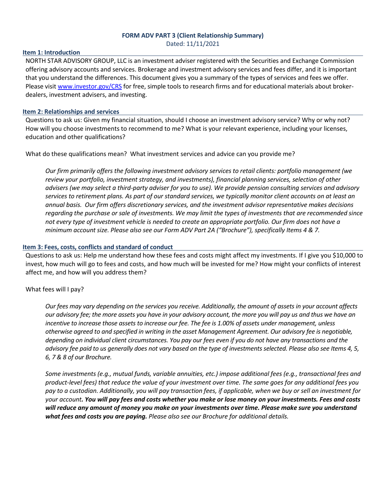#### **FORM ADV PART 3 (Client Relationship Summary)** Dated: 11/11/2021

#### **Item 1: Introduction**

NORTH STAR ADVISORY GROUP, LLC is an investment adviser registered with the Securities and Exchange Commission offering advisory accounts and services. Brokerage and investment advisory services and fees differ, and it is important that you understand the differences. This document gives you a summary of the types of services and fees we offer. Please visi[t www.investor.gov/CRS](http://www.investor.gov/CRS) for free, simple tools to research firms and for educational materials about brokerdealers, investment advisers, and investing.

#### **Item 2: Relationships and services**

Questions to ask us: Given my financial situation, should I choose an investment advisory service? Why or why not? How will you choose investments to recommend to me? What is your relevant experience, including your licenses, education and other qualifications?

What do these qualifications mean? What investment services and advice can you provide me?

*Our firm primarily offers the following investment advisory services to retail clients: portfolio management (we review your portfolio, investment strategy, and investments), financial planning services, selection of other advisers (we may select a third-party adviser for you to use). We provide pension consulting services and advisory services to retirement plans. As part of our standard services, we typically monitor client accounts on at least an annual basis. Our firm offers discretionary services, and the investment advisor representative makes decisions regarding the purchase or sale of investments. We may limit the types of investments that are recommended since not every type of investment vehicle is needed to create an appropriate portfolio. Our firm does not have a minimum account size. Please also see our Form ADV Part 2A ("Brochure"), specifically Items 4 & 7.*

#### **Item 3: Fees, costs, conflicts and standard of conduct**

Questions to ask us: Help me understand how these fees and costs might affect my investments. If I give you \$10,000 to invest, how much will go to fees and costs, and how much will be invested for me? How might your conflicts of interest affect me, and how will you address them?

#### What fees will I pay?

*Our fees may vary depending on the services you receive. Additionally, the amount of assets in your account affects our advisory fee; the more assets you have in your advisory account, the more you will pay us and thus we have an incentive to increase those assets to increase our fee. The fee is 1.00% of assets under management, unless otherwise agreed to and specified in writing in the asset Management Agreement. Our advisory fee is negotiable, depending on individual client circumstances. You pay our fees even if you do not have any transactions and the advisory fee paid to us generally does not vary based on the type of investments selected. Please also see Items 4, 5, 6, 7 & 8 of our Brochure.*

*Some investments (e.g., mutual funds, variable annuities, etc.) impose additional fees (e.g., transactional fees and product-level fees) that reduce the value of your investment over time. The same goes for any additional fees you pay to a custodian. Additionally, you will pay transaction fees, if applicable, when we buy or sell an investment for your account. You will pay fees and costs whether you make or lose money on your investments. Fees and costs will reduce any amount of money you make on your investments over time. Please make sure you understand what fees and costs you are paying. Please also see our Brochure for additional details.*